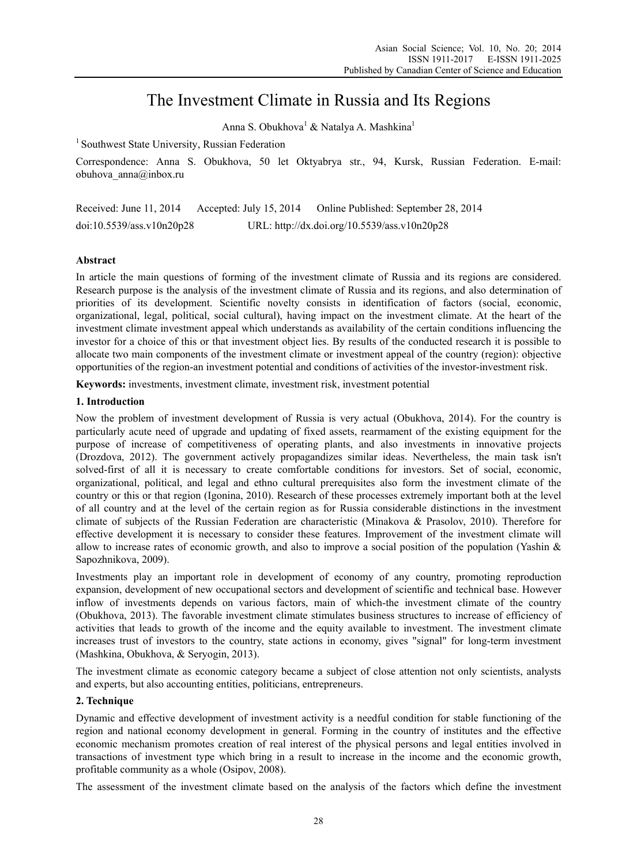# The Investment Climate in Russia and Its Regions

Anna S. Obukhova<sup>1</sup> & Natalya A. Mashkina<sup>1</sup>

<sup>1</sup> Southwest State University, Russian Federation

Correspondence: Anna S. Obukhova, 50 let Oktyabrya str., 94, Kursk, Russian Federation. E-mail: obuhova\_anna@inbox.ru

Received: June 11, 2014 Accepted: July 15, 2014 Online Published: September 28, 2014 doi:10.5539/ass.v10n20p28 URL: http://dx.doi.org/10.5539/ass.v10n20p28

# **Abstract**

In article the main questions of forming of the investment climate of Russia and its regions are considered. Research purpose is the analysis of the investment climate of Russia and its regions, and also determination of priorities of its development. Scientific novelty consists in identification of factors (social, economic, organizational, legal, political, social cultural), having impact on the investment climate. At the heart of the investment climate investment appeal which understands as availability of the certain conditions influencing the investor for a choice of this or that investment object lies. By results of the conducted research it is possible to allocate two main components of the investment climate or investment appeal of the country (region): objective opportunities of the region-an investment potential and conditions of activities of the investor-investment risk.

**Keywords:** investments, investment climate, investment risk, investment potential

# **1. Introduction**

Now the problem of investment development of Russia is very actual (Obukhova, 2014). For the country is particularly acute need of upgrade and updating of fixed assets, rearmament of the existing equipment for the purpose of increase of competitiveness of operating plants, and also investments in innovative projects (Drozdova, 2012). The government actively propagandizes similar ideas. Nevertheless, the main task isn't solved-first of all it is necessary to create comfortable conditions for investors. Set of social, economic, organizational, political, and legal and ethno cultural prerequisites also form the investment climate of the country or this or that region (Igonina, 2010). Research of these processes extremely important both at the level of all country and at the level of the certain region as for Russia considerable distinctions in the investment climate of subjects of the Russian Federation are characteristic (Minakova & Prasolov, 2010). Therefore for effective development it is necessary to consider these features. Improvement of the investment climate will allow to increase rates of economic growth, and also to improve a social position of the population (Yashin & Sapozhnikova, 2009).

Investments play an important role in development of economy of any country, promoting reproduction expansion, development of new occupational sectors and development of scientific and technical base. However inflow of investments depends on various factors, main of which-the investment climate of the country (Obukhova, 2013). The favorable investment climate stimulates business structures to increase of efficiency of activities that leads to growth of the income and the equity available to investment. The investment climate increases trust of investors to the country, state actions in economy, gives "signal" for long-term investment (Mashkina, Obukhova, & Seryogin, 2013).

The investment climate as economic category became a subject of close attention not only scientists, analysts and experts, but also accounting entities, politicians, entrepreneurs.

# **2. Technique**

Dynamic and effective development of investment activity is a needful condition for stable functioning of the region and national economy development in general. Forming in the country of institutes and the effective economic mechanism promotes creation of real interest of the physical persons and legal entities involved in transactions of investment type which bring in a result to increase in the income and the economic growth, profitable community as a whole (Osipov, 2008).

The assessment of the investment climate based on the analysis of the factors which define the investment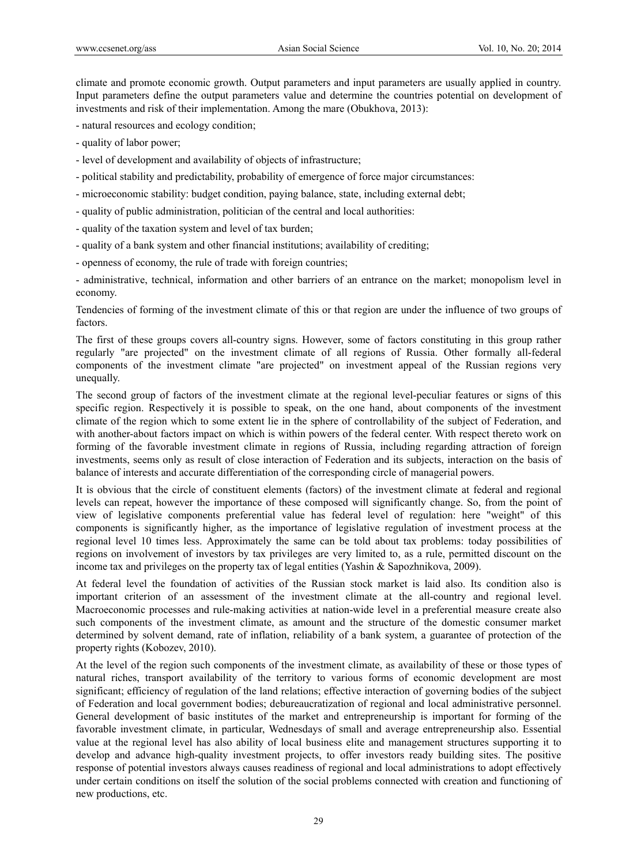climate and promote economic growth. Output parameters and input parameters are usually applied in country. Input parameters define the output parameters value and determine the countries potential on development of investments and risk of their implementation. Among the mare (Obukhova, 2013):

- natural resources and ecology condition;
- quality of labor power;
- level of development and availability of objects of infrastructure;
- political stability and predictability, probability of emergence of force major circumstances:
- microeconomic stability: budget condition, paying balance, state, including external debt;
- quality of public administration, politician of the central and local authorities:
- quality of the taxation system and level of tax burden;
- quality of a bank system and other financial institutions; availability of crediting;
- openness of economy, the rule of trade with foreign countries;

- administrative, technical, information and other barriers of an entrance on the market; monopolism level in economy.

Tendencies of forming of the investment climate of this or that region are under the influence of two groups of factors.

The first of these groups covers all-country signs. However, some of factors constituting in this group rather regularly "are projected" on the investment climate of all regions of Russia. Other formally all-federal components of the investment climate "are projected" on investment appeal of the Russian regions very unequally.

The second group of factors of the investment climate at the regional level-peculiar features or signs of this specific region. Respectively it is possible to speak, on the one hand, about components of the investment climate of the region which to some extent lie in the sphere of controllability of the subject of Federation, and with another-about factors impact on which is within powers of the federal center. With respect thereto work on forming of the favorable investment climate in regions of Russia, including regarding attraction of foreign investments, seems only as result of close interaction of Federation and its subjects, interaction on the basis of balance of interests and accurate differentiation of the corresponding circle of managerial powers.

It is obvious that the circle of constituent elements (factors) of the investment climate at federal and regional levels can repeat, however the importance of these composed will significantly change. So, from the point of view of legislative components preferential value has federal level of regulation: here "weight" of this components is significantly higher, as the importance of legislative regulation of investment process at the regional level 10 times less. Approximately the same can be told about tax problems: today possibilities of regions on involvement of investors by tax privileges are very limited to, as a rule, permitted discount on the income tax and privileges on the property tax of legal entities (Yashin & Sapozhnikova, 2009).

At federal level the foundation of activities of the Russian stock market is laid also. Its condition also is important criterion of an assessment of the investment climate at the all-country and regional level. Macroeconomic processes and rule-making activities at nation-wide level in a preferential measure create also such components of the investment climate, as amount and the structure of the domestic consumer market determined by solvent demand, rate of inflation, reliability of a bank system, a guarantee of protection of the property rights (Kobozev, 2010).

At the level of the region such components of the investment climate, as availability of these or those types of natural riches, transport availability of the territory to various forms of economic development are most significant; efficiency of regulation of the land relations; effective interaction of governing bodies of the subject of Federation and local government bodies; debureaucratization of regional and local administrative personnel. General development of basic institutes of the market and entrepreneurship is important for forming of the favorable investment climate, in particular, Wednesdays of small and average entrepreneurship also. Essential value at the regional level has also ability of local business elite and management structures supporting it to develop and advance high-quality investment projects, to offer investors ready building sites. The positive response of potential investors always causes readiness of regional and local administrations to adopt effectively under certain conditions on itself the solution of the social problems connected with creation and functioning of new productions, etc.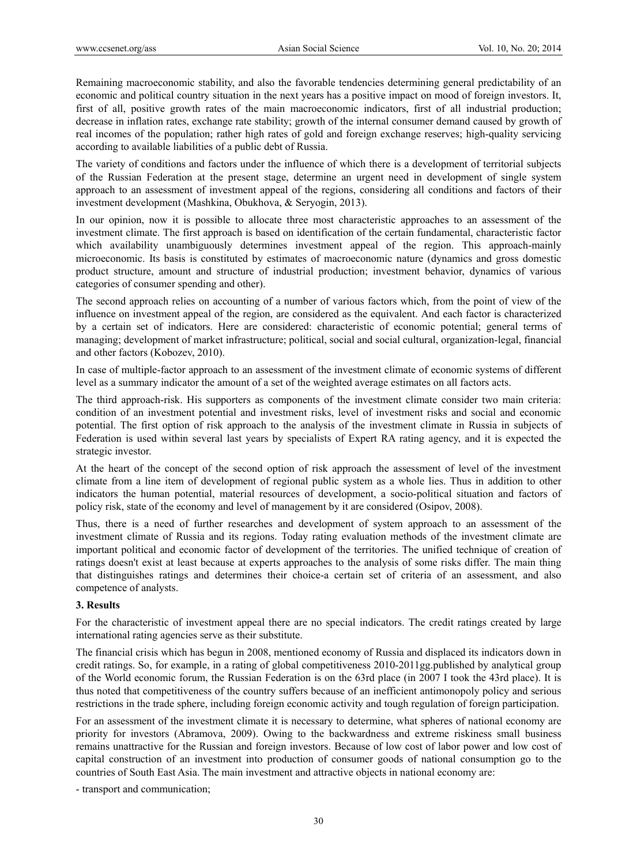Remaining macroeconomic stability, and also the favorable tendencies determining general predictability of an economic and political country situation in the next years has a positive impact on mood of foreign investors. It, first of all, positive growth rates of the main macroeconomic indicators, first of all industrial production; decrease in inflation rates, exchange rate stability; growth of the internal consumer demand caused by growth of real incomes of the population; rather high rates of gold and foreign exchange reserves; high-quality servicing according to available liabilities of a public debt of Russia.

The variety of conditions and factors under the influence of which there is a development of territorial subjects of the Russian Federation at the present stage, determine an urgent need in development of single system approach to an assessment of investment appeal of the regions, considering all conditions and factors of their investment development (Mashkina, Obukhova, & Seryogin, 2013).

In our opinion, now it is possible to allocate three most characteristic approaches to an assessment of the investment climate. The first approach is based on identification of the certain fundamental, characteristic factor which availability unambiguously determines investment appeal of the region. This approach-mainly microeconomic. Its basis is constituted by estimates of macroeconomic nature (dynamics and gross domestic product structure, amount and structure of industrial production; investment behavior, dynamics of various categories of consumer spending and other).

The second approach relies on accounting of a number of various factors which, from the point of view of the influence on investment appeal of the region, are considered as the equivalent. And each factor is characterized by a certain set of indicators. Here are considered: characteristic of economic potential; general terms of managing; development of market infrastructure; political, social and social cultural, organization-legal, financial and other factors (Kobozev, 2010).

In case of multiple-factor approach to an assessment of the investment climate of economic systems of different level as a summary indicator the amount of a set of the weighted average estimates on all factors acts.

The third approach-risk. His supporters as components of the investment climate consider two main criteria: condition of an investment potential and investment risks, level of investment risks and social and economic potential. The first option of risk approach to the analysis of the investment climate in Russia in subjects of Federation is used within several last years by specialists of Expert RA rating agency, and it is expected the strategic investor.

At the heart of the concept of the second option of risk approach the assessment of level of the investment climate from a line item of development of regional public system as a whole lies. Thus in addition to other indicators the human potential, material resources of development, a socio-political situation and factors of policy risk, state of the economy and level of management by it are considered (Osipov, 2008).

Thus, there is a need of further researches and development of system approach to an assessment of the investment climate of Russia and its regions. Today rating evaluation methods of the investment climate are important political and economic factor of development of the territories. The unified technique of creation of ratings doesn't exist at least because at experts approaches to the analysis of some risks differ. The main thing that distinguishes ratings and determines their choice-a certain set of criteria of an assessment, and also competence of analysts.

### **3. Results**

For the characteristic of investment appeal there are no special indicators. The credit ratings created by large international rating agencies serve as their substitute.

The financial crisis which has begun in 2008, mentioned economy of Russia and displaced its indicators down in credit ratings. So, for example, in a rating of global competitiveness 2010-2011gg.published by analytical group of the World economic forum, the Russian Federation is on the 63rd place (in 2007 I took the 43rd place). It is thus noted that competitiveness of the country suffers because of an inefficient antimonopoly policy and serious restrictions in the trade sphere, including foreign economic activity and tough regulation of foreign participation.

For an assessment of the investment climate it is necessary to determine, what spheres of national economy are priority for investors (Abramova, 2009). Owing to the backwardness and extreme riskiness small business remains unattractive for the Russian and foreign investors. Because of low cost of labor power and low cost of capital construction of an investment into production of consumer goods of national consumption go to the countries of South East Asia. The main investment and attractive objects in national economy are:

- transport and communication;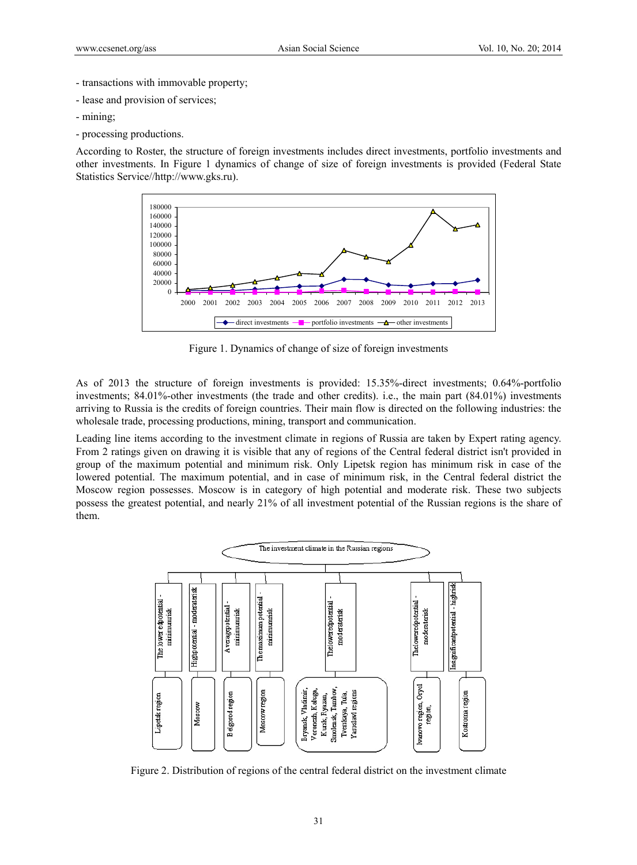- transactions with immovable property;
- lease and provision of services;
- mining;
- processing productions.

According to Roster, the structure of foreign investments includes direct investments, portfolio investments and other investments. In Figure 1 dynamics of change of size of foreign investments is provided (Federal State Statistics Service//http://www.gks.ru).



Figure 1. Dynamics of change of size of foreign investments

As of 2013 the structure of foreign investments is provided: 15.35%-direct investments; 0.64%-portfolio investments; 84.01%-other investments (the trade and other credits). i.e., the main part (84.01%) investments arriving to Russia is the credits of foreign countries. Their main flow is directed on the following industries: the wholesale trade, processing productions, mining, transport and communication.

Leading line items according to the investment climate in regions of Russia are taken by Expert rating agency. From 2 ratings given on drawing it is visible that any of regions of the Central federal district isn't provided in group of the maximum potential and minimum risk. Only Lipetsk region has minimum risk in case of the lowered potential. The maximum potential, and in case of minimum risk, in the Central federal district the Moscow region possesses. Moscow is in category of high potential and moderate risk. These two subjects possess the greatest potential, and nearly 21% of all investment potential of the Russian regions is the share of them.



Figure 2. Distribution of regions of the central federal district on the investment climate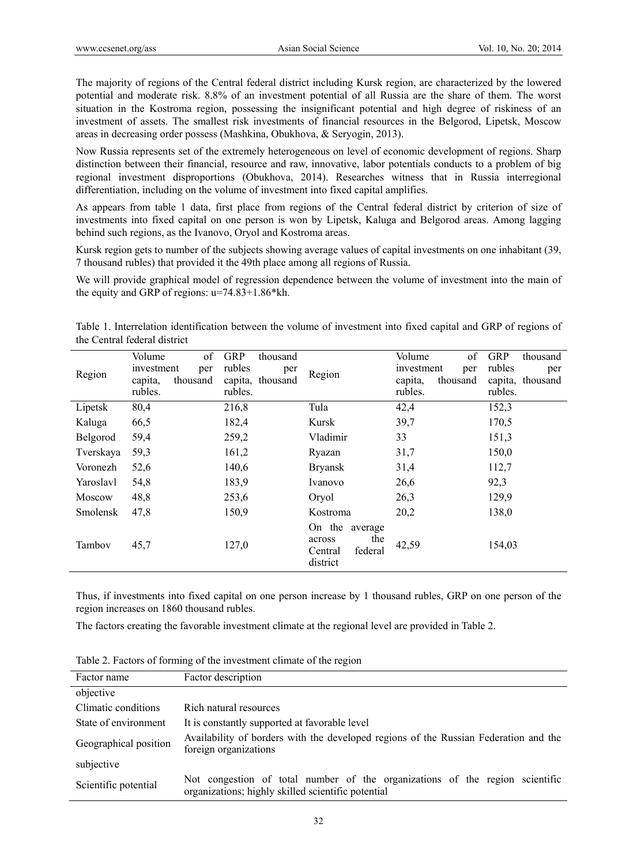The majority of regions of the Central federal district including Kursk region, are characterized by the lowered potential and moderate risk. 8.8% of an investment potential of all Russia are the share of them. The worst situation in the Kostroma region, possessing the insignificant potential and high degree of riskiness of an investment of assets. The smallest risk investments of financial resources in the Belgorod, Lipetsk, Moscow areas in decreasing order possess (Mashkina, Obukhova, & Seryogin, 2013).

Now Russia represents set of the extremely heterogeneous on level of economic development of regions. Sharp distinction between their financial, resource and raw, innovative, labor potentials conducts to a problem of big regional investment disproportions (Obukhova, 2014). Researches witness that in Russia interregional differentiation, including on the volume of investment into fixed capital amplifies.

As appears from table 1 data, first place from regions of the Central federal district by criterion of size of investments into fixed capital on one person is won by Lipetsk, Kaluga and Belgorod areas. Among lagging behind such regions, as the Ivanovo, Oryol and Kostroma areas.

Kursk region gets to number of the subjects showing average values of capital investments on one inhabitant (39, 7 thousand rubles) that provided it the 49th place among all regions of Russia.

We will provide graphical model of regression dependence between the volume of investment into the main of the equity and GRP of regions: u=74.83+1.86\*kh.

Table 1. Interrelation identification between the volume of investment into fixed capital and GRP of regions of the Central federal district

| Region          | of<br>Volume<br>investment<br>per<br>capita,<br>thousand<br>rubles. | GRP<br>thousand<br>rubles<br>per<br>thousand<br>capita,<br>rubles. | Region                                                               | of<br>Volume<br>investment<br>per<br>thousand<br>capita.<br>rubles. | <b>GRP</b><br>thousand<br>rubles<br>per<br>capita,<br>thousand<br>rubles. |
|-----------------|---------------------------------------------------------------------|--------------------------------------------------------------------|----------------------------------------------------------------------|---------------------------------------------------------------------|---------------------------------------------------------------------------|
| Lipetsk         | 80,4                                                                | 216,8                                                              | Tula                                                                 | 42,4                                                                | 152,3                                                                     |
| Kaluga          | 66,5                                                                | 182,4                                                              | Kursk                                                                | 39,7                                                                | 170,5                                                                     |
| Belgorod        | 59,4                                                                | 259,2                                                              | Vladimir                                                             | 33                                                                  | 151,3                                                                     |
| Tverskaya       | 59,3                                                                | 161,2                                                              | Ryazan                                                               | 31,7                                                                | 150,0                                                                     |
| Voronezh        | 52,6                                                                | 140,6                                                              | <b>Bryansk</b>                                                       | 31,4                                                                | 112,7                                                                     |
| Yaroslavl       | 54,8                                                                | 183,9                                                              | Ivanovo                                                              | 26,6                                                                | 92,3                                                                      |
| Moscow          | 48,8                                                                | 253,6                                                              | Oryol                                                                | 26,3                                                                | 129,9                                                                     |
| <b>Smolensk</b> | 47,8                                                                | 150,9                                                              | Kostroma                                                             | 20,2                                                                | 138,0                                                                     |
| Tambov          | 45,7                                                                | 127,0                                                              | On the<br>average<br>the<br>across<br>federal<br>Central<br>district | 42,59                                                               | 154,03                                                                    |

Thus, if investments into fixed capital on one person increase by 1 thousand rubles, GRP on one person of the region increases on 1860 thousand rubles.

The factors creating the favorable investment climate at the regional level are provided in Table 2.

Table 2. Factors of forming of the investment climate of the region

| Factor name           | Factor description                                                                                                                 |
|-----------------------|------------------------------------------------------------------------------------------------------------------------------------|
| objective             |                                                                                                                                    |
| Climatic conditions   | Rich natural resources                                                                                                             |
| State of environment  | It is constantly supported at favorable level                                                                                      |
| Geographical position | Availability of borders with the developed regions of the Russian Federation and the<br>foreign organizations                      |
| subjective            |                                                                                                                                    |
| Scientific potential  | Not congestion of total number of the organizations of the region scientific<br>organizations; highly skilled scientific potential |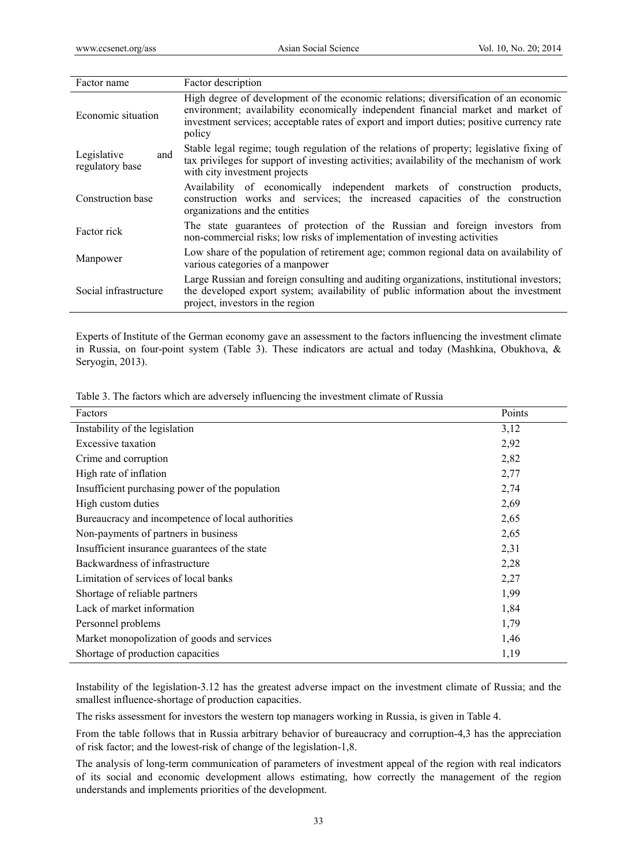| Factor name                           | Factor description                                                                                                                                                                                                                                                               |
|---------------------------------------|----------------------------------------------------------------------------------------------------------------------------------------------------------------------------------------------------------------------------------------------------------------------------------|
| Economic situation                    | High degree of development of the economic relations; diversification of an economic<br>environment; availability economically independent financial market and market of<br>investment services; acceptable rates of export and import duties; positive currency rate<br>policy |
| Legislative<br>and<br>regulatory base | Stable legal regime; tough regulation of the relations of property; legislative fixing of<br>tax privileges for support of investing activities; availability of the mechanism of work<br>with city investment projects                                                          |
| Construction base                     | Availability of economically independent markets of construction products,<br>construction works and services; the increased capacities of the construction<br>organizations and the entities                                                                                    |
| Factor rick                           | The state guarantees of protection of the Russian and foreign investors from<br>non-commercial risks; low risks of implementation of investing activities                                                                                                                        |
| Manpower                              | Low share of the population of retirement age; common regional data on availability of<br>various categories of a manpower                                                                                                                                                       |
| Social infrastructure                 | Large Russian and foreign consulting and auditing organizations, institutional investors;<br>the developed export system; availability of public information about the investment<br>project, investors in the region                                                            |

Experts of Institute of the German economy gave an assessment to the factors influencing the investment climate in Russia, on four-point system (Table 3). These indicators are actual and today (Mashkina, Obukhova, & Seryogin, 2013).

Table 3. The factors which are adversely influencing the investment climate of Russia

| Factors                                             | Points |
|-----------------------------------------------------|--------|
| Instability of the legislation                      | 3,12   |
| Excessive taxation                                  | 2,92   |
| Crime and corruption                                | 2,82   |
| High rate of inflation                              | 2,77   |
| Insufficient purchasing power of the population     | 2,74   |
| High custom duties                                  | 2,69   |
| Bureaucracy and incompetence of local authorities   | 2,65   |
| Non-payments of partners in business                | 2,65   |
| Insufficient insurance guarantees of the state      | 2,31   |
| Backwardness of infrastructure                      | 2,28   |
| Limitation of services of local banks               | 2,27   |
| Shortage of reliable partners                       | 1,99   |
| Lack of market information                          | 1,84   |
| Personnel problems                                  | 1,79   |
| Market monopolization of goods and services<br>1,46 |        |
| Shortage of production capacities<br>1,19           |        |

Instability of the legislation-3.12 has the greatest adverse impact on the investment climate of Russia; and the smallest influence-shortage of production capacities.

The risks assessment for investors the western top managers working in Russia, is given in Table 4.

From the table follows that in Russia arbitrary behavior of bureaucracy and corruption-4,3 has the appreciation of risk factor; and the lowest-risk of change of the legislation-1,8.

The analysis of long-term communication of parameters of investment appeal of the region with real indicators of its social and economic development allows estimating, how correctly the management of the region understands and implements priorities of the development.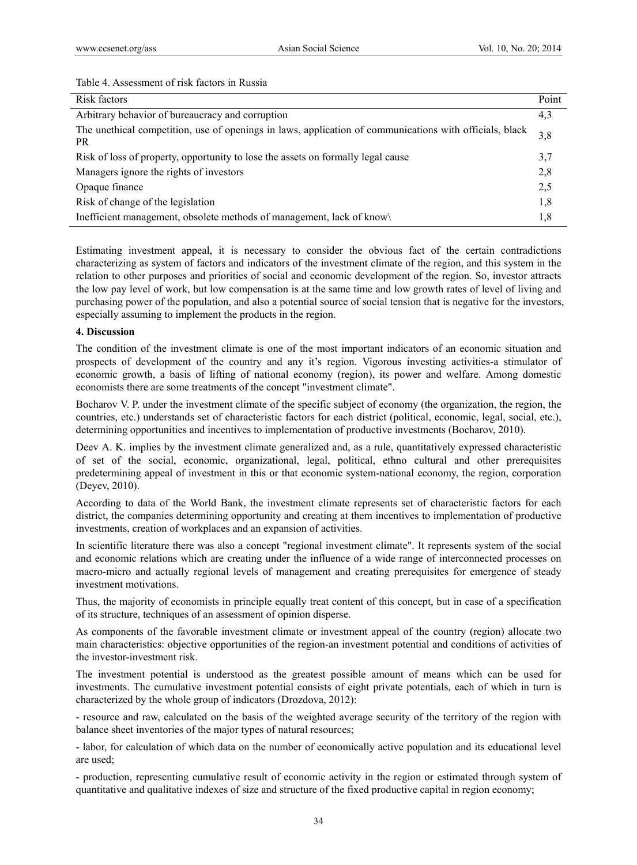| Table 4. Assessment of risk factors in Russia |  |
|-----------------------------------------------|--|
|-----------------------------------------------|--|

| Risk factors                                                                                                   | Point |
|----------------------------------------------------------------------------------------------------------------|-------|
| Arbitrary behavior of bureaucracy and corruption                                                               |       |
| The unethical competition, use of openings in laws, application of communications with officials, black<br>PR. |       |
| Risk of loss of property, opportunity to lose the assets on formally legal cause                               | 3,7   |
| Managers ignore the rights of investors                                                                        |       |
| Opaque finance                                                                                                 |       |
| Risk of change of the legislation                                                                              |       |
| Inefficient management, obsolete methods of management, lack of know                                           |       |

Estimating investment appeal, it is necessary to consider the obvious fact of the certain contradictions characterizing as system of factors and indicators of the investment climate of the region, and this system in the relation to other purposes and priorities of social and economic development of the region. So, investor attracts the low pay level of work, but low compensation is at the same time and low growth rates of level of living and purchasing power of the population, and also a potential source of social tension that is negative for the investors, especially assuming to implement the products in the region.

# **4. Discussion**

The condition of the investment climate is one of the most important indicators of an economic situation and prospects of development of the country and any it's region. Vigorous investing activities-a stimulator of economic growth, a basis of lifting of national economy (region), its power and welfare. Among domestic economists there are some treatments of the concept "investment climate".

Bocharov V. P. under the investment climate of the specific subject of economy (the organization, the region, the countries, etc.) understands set of characteristic factors for each district (political, economic, legal, social, etc.), determining opportunities and incentives to implementation of productive investments (Bocharov, 2010).

Deev A. K. implies by the investment climate generalized and, as a rule, quantitatively expressed characteristic of set of the social, economic, organizational, legal, political, ethno cultural and other prerequisites predetermining appeal of investment in this or that economic system-national economy, the region, corporation (Deyev, 2010).

According to data of the World Bank, the investment climate represents set of characteristic factors for each district, the companies determining opportunity and creating at them incentives to implementation of productive investments, creation of workplaces and an expansion of activities.

In scientific literature there was also a concept "regional investment climate". It represents system of the social and economic relations which are creating under the influence of a wide range of interconnected processes on macro-micro and actually regional levels of management and creating prerequisites for emergence of steady investment motivations.

Thus, the majority of economists in principle equally treat content of this concept, but in case of a specification of its structure, techniques of an assessment of opinion disperse.

As components of the favorable investment climate or investment appeal of the country (region) allocate two main characteristics: objective opportunities of the region-an investment potential and conditions of activities of the investor-investment risk.

The investment potential is understood as the greatest possible amount of means which can be used for investments. The cumulative investment potential consists of eight private potentials, each of which in turn is characterized by the whole group of indicators (Drozdova, 2012):

- resource and raw, calculated on the basis of the weighted average security of the territory of the region with balance sheet inventories of the major types of natural resources;

- labor, for calculation of which data on the number of economically active population and its educational level are used;

- production, representing cumulative result of economic activity in the region or estimated through system of quantitative and qualitative indexes of size and structure of the fixed productive capital in region economy;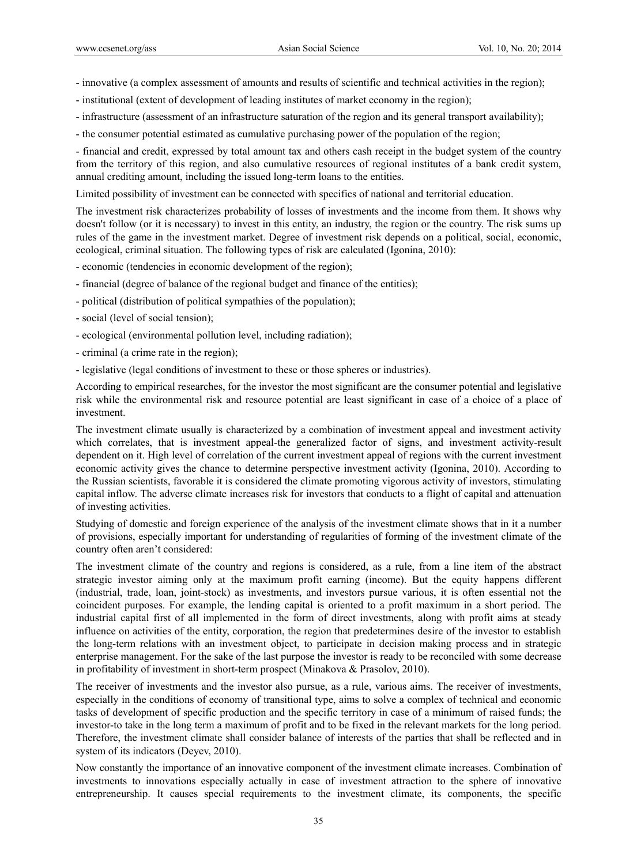- innovative (a complex assessment of amounts and results of scientific and technical activities in the region);
- institutional (extent of development of leading institutes of market economy in the region);
- infrastructure (assessment of an infrastructure saturation of the region and its general transport availability);
- the consumer potential estimated as cumulative purchasing power of the population of the region;

- financial and credit, expressed by total amount tax and others cash receipt in the budget system of the country from the territory of this region, and also cumulative resources of regional institutes of a bank credit system, annual crediting amount, including the issued long-term loans to the entities.

Limited possibility of investment can be connected with specifics of national and territorial education.

The investment risk characterizes probability of losses of investments and the income from them. It shows why doesn't follow (or it is necessary) to invest in this entity, an industry, the region or the country. The risk sums up rules of the game in the investment market. Degree of investment risk depends on a political, social, economic, ecological, criminal situation. The following types of risk are calculated (Igonina, 2010):

- economic (tendencies in economic development of the region);
- financial (degree of balance of the regional budget and finance of the entities);
- political (distribution of political sympathies of the population);
- social (level of social tension);
- ecological (environmental pollution level, including radiation);
- criminal (a crime rate in the region);
- legislative (legal conditions of investment to these or those spheres or industries).

According to empirical researches, for the investor the most significant are the consumer potential and legislative risk while the environmental risk and resource potential are least significant in case of a choice of a place of investment.

The investment climate usually is characterized by a combination of investment appeal and investment activity which correlates, that is investment appeal-the generalized factor of signs, and investment activity-result dependent on it. High level of correlation of the current investment appeal of regions with the current investment economic activity gives the chance to determine perspective investment activity (Igonina, 2010). According to the Russian scientists, favorable it is considered the climate promoting vigorous activity of investors, stimulating capital inflow. The adverse climate increases risk for investors that conducts to a flight of capital and attenuation of investing activities.

Studying of domestic and foreign experience of the analysis of the investment climate shows that in it a number of provisions, especially important for understanding of regularities of forming of the investment climate of the country often aren't considered:

The investment climate of the country and regions is considered, as a rule, from a line item of the abstract strategic investor aiming only at the maximum profit earning (income). But the equity happens different (industrial, trade, loan, joint-stock) as investments, and investors pursue various, it is often essential not the coincident purposes. For example, the lending capital is oriented to a profit maximum in a short period. The industrial capital first of all implemented in the form of direct investments, along with profit aims at steady influence on activities of the entity, corporation, the region that predetermines desire of the investor to establish the long-term relations with an investment object, to participate in decision making process and in strategic enterprise management. For the sake of the last purpose the investor is ready to be reconciled with some decrease in profitability of investment in short-term prospect (Minakova & Prasolov, 2010).

The receiver of investments and the investor also pursue, as a rule, various aims. The receiver of investments, especially in the conditions of economy of transitional type, aims to solve a complex of technical and economic tasks of development of specific production and the specific territory in case of a minimum of raised funds; the investor-to take in the long term a maximum of profit and to be fixed in the relevant markets for the long period. Therefore, the investment climate shall consider balance of interests of the parties that shall be reflected and in system of its indicators (Deyev, 2010).

Now constantly the importance of an innovative component of the investment climate increases. Combination of investments to innovations especially actually in case of investment attraction to the sphere of innovative entrepreneurship. It causes special requirements to the investment climate, its components, the specific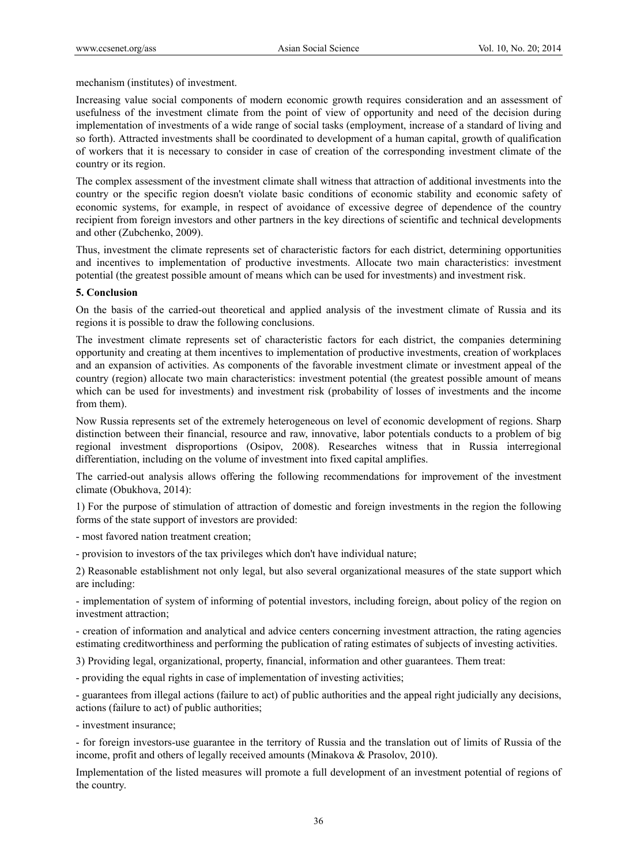mechanism (institutes) of investment.

Increasing value social components of modern economic growth requires consideration and an assessment of usefulness of the investment climate from the point of view of opportunity and need of the decision during implementation of investments of a wide range of social tasks (employment, increase of a standard of living and so forth). Attracted investments shall be coordinated to development of a human capital, growth of qualification of workers that it is necessary to consider in case of creation of the corresponding investment climate of the country or its region.

The complex assessment of the investment climate shall witness that attraction of additional investments into the country or the specific region doesn't violate basic conditions of economic stability and economic safety of economic systems, for example, in respect of avoidance of excessive degree of dependence of the country recipient from foreign investors and other partners in the key directions of scientific and technical developments and other (Zubchenko, 2009).

Thus, investment the climate represents set of characteristic factors for each district, determining opportunities and incentives to implementation of productive investments. Allocate two main characteristics: investment potential (the greatest possible amount of means which can be used for investments) and investment risk.

#### **5. Conclusion**

On the basis of the carried-out theoretical and applied analysis of the investment climate of Russia and its regions it is possible to draw the following conclusions.

The investment climate represents set of characteristic factors for each district, the companies determining opportunity and creating at them incentives to implementation of productive investments, creation of workplaces and an expansion of activities. As components of the favorable investment climate or investment appeal of the country (region) allocate two main characteristics: investment potential (the greatest possible amount of means which can be used for investments) and investment risk (probability of losses of investments and the income from them).

Now Russia represents set of the extremely heterogeneous on level of economic development of regions. Sharp distinction between their financial, resource and raw, innovative, labor potentials conducts to a problem of big regional investment disproportions (Osipov, 2008). Researches witness that in Russia interregional differentiation, including on the volume of investment into fixed capital amplifies.

The carried-out analysis allows offering the following recommendations for improvement of the investment climate (Obukhova, 2014):

1) For the purpose of stimulation of attraction of domestic and foreign investments in the region the following forms of the state support of investors are provided:

- most favored nation treatment creation;

- provision to investors of the tax privileges which don't have individual nature;

2) Reasonable establishment not only legal, but also several organizational measures of the state support which are including:

- implementation of system of informing of potential investors, including foreign, about policy of the region on investment attraction;

- creation of information and analytical and advice centers concerning investment attraction, the rating agencies estimating creditworthiness and performing the publication of rating estimates of subjects of investing activities.

3) Providing legal, organizational, property, financial, information and other guarantees. Them treat:

- providing the equal rights in case of implementation of investing activities;

- guarantees from illegal actions (failure to act) of public authorities and the appeal right judicially any decisions, actions (failure to act) of public authorities;

- investment insurance;

- for foreign investors-use guarantee in the territory of Russia and the translation out of limits of Russia of the income, profit and others of legally received amounts (Minakova & Prasolov, 2010).

Implementation of the listed measures will promote a full development of an investment potential of regions of the country.